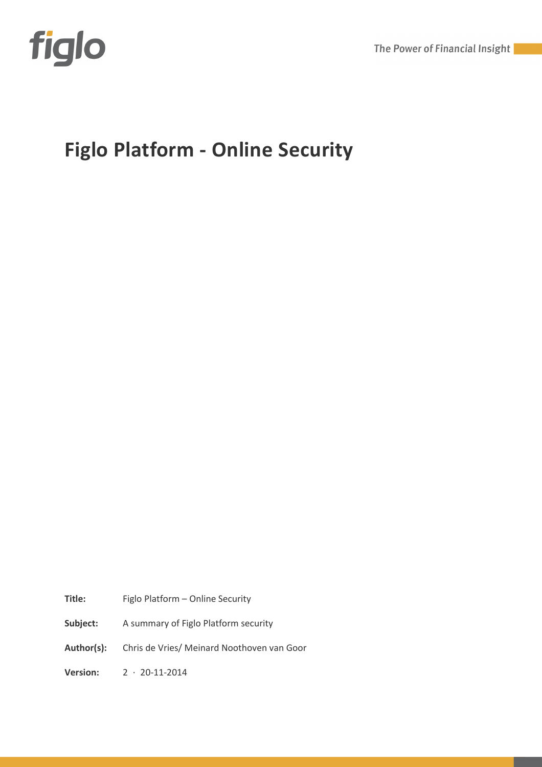

The Power of Financial Insight

# **Figlo Platform - Online Security**

**Title:** Figlo Platform – Online Security

**Subject:** A summary of Figlo Platform security

**Author(s):** Chris de Vries/ Meinard Noothoven van Goor

**Version:** 2 · 20-11-2014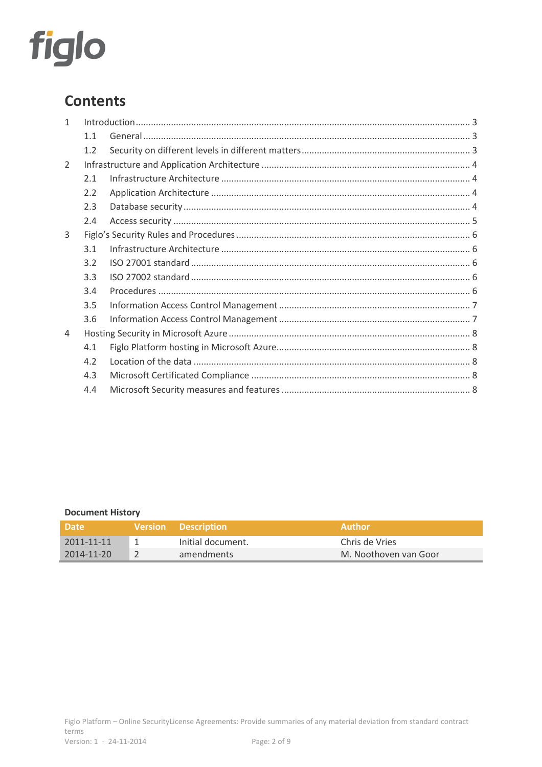

# **Contents**

| 1 |     |  |  |  |  |
|---|-----|--|--|--|--|
|   | 1.1 |  |  |  |  |
|   | 1.2 |  |  |  |  |
| 2 |     |  |  |  |  |
|   | 2.1 |  |  |  |  |
|   | 2.2 |  |  |  |  |
|   | 2.3 |  |  |  |  |
|   | 2.4 |  |  |  |  |
| 3 |     |  |  |  |  |
|   | 3.1 |  |  |  |  |
|   | 3.2 |  |  |  |  |
|   | 3.3 |  |  |  |  |
|   | 3.4 |  |  |  |  |
|   | 3.5 |  |  |  |  |
|   | 3.6 |  |  |  |  |
| 4 |     |  |  |  |  |
|   | 4.1 |  |  |  |  |
|   | 4.2 |  |  |  |  |
|   | 4.3 |  |  |  |  |
|   | 4.4 |  |  |  |  |

#### **Document History**

| <b>Date</b>      | Version Description | <b>Author</b>         |
|------------------|---------------------|-----------------------|
| $2011 - 11 - 11$ | Initial document.   | Chris de Vries        |
| $2014 - 11 - 20$ | amendments          | M. Noothoven van Goor |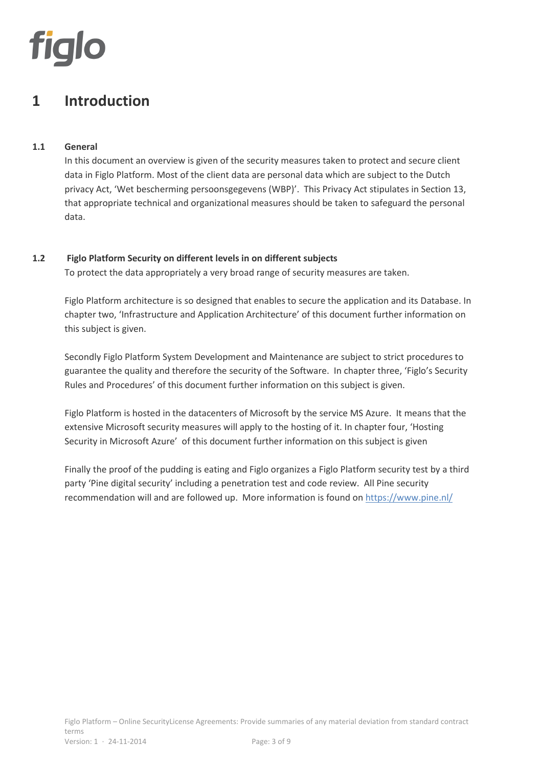

### **1 Introduction**

#### **1.1 General**

In this document an overview is given of the security measures taken to protect and secure client data in Figlo Platform. Most of the client data are personal data which are subject to the Dutch privacy Act, 'Wet bescherming persoonsgegevens (WBP)'. This Privacy Act stipulates in Section 13, that appropriate technical and organizational measures should be taken to safeguard the personal data.

#### **1.2 Figlo Platform Security on different levels in on different subjects**

To protect the data appropriately a very broad range of security measures are taken.

Figlo Platform architecture is so designed that enables to secure the application and its Database. In chapter two, 'Infrastructure and Application Architecture' of this document further information on this subject is given.

Secondly Figlo Platform System Development and Maintenance are subject to strict procedures to guarantee the quality and therefore the security of the Software. In chapter three, 'Figlo's Security Rules and Procedures' of this document further information on this subject is given.

Figlo Platform is hosted in the datacenters of Microsoft by the service MS Azure. It means that the extensive Microsoft security measures will apply to the hosting of it. In chapter four, 'Hosting Security in Microsoft Azure' of this document further information on this subject is given

Finally the proof of the pudding is eating and Figlo organizes a Figlo Platform security test by a third party 'Pine digital security' including a penetration test and code review. All Pine security recommendation will and are followed up. More information is found on https://www.pine.nl/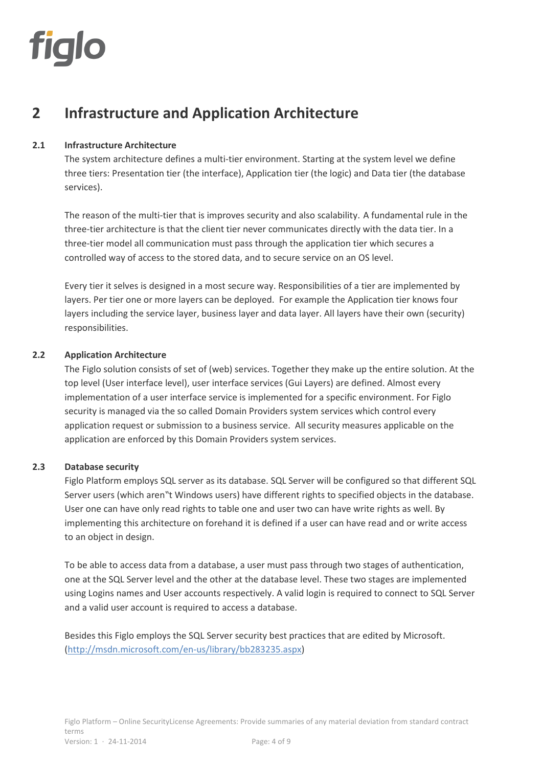

### **2 Infrastructure and Application Architecture**

#### **2.1 Infrastructure Architecture**

The system architecture defines a multi-tier environment. Starting at the system level we define three tiers: Presentation tier (the interface), Application tier (the logic) and Data tier (the database services).

The reason of the multi-tier that is improves security and also scalability. A fundamental rule in the three-tier architecture is that the client tier never communicates directly with the data tier. In a three-tier model all communication must pass through the application tier which secures a controlled way of access to the stored data, and to secure service on an OS level.

Every tier it selves is designed in a most secure way. Responsibilities of a tier are implemented by layers. Per tier one or more layers can be deployed. For example the Application tier knows four layers including the service layer, business layer and data layer. All layers have their own (security) responsibilities.

#### **2.2 Application Architecture**

The Figlo solution consists of set of (web) services. Together they make up the entire solution. At the top level (User interface level), user interface services (Gui Layers) are defined. Almost every implementation of a user interface service is implemented for a specific environment. For Figlo security is managed via the so called Domain Providers system services which control every application request or submission to a business service. All security measures applicable on the application are enforced by this Domain Providers system services.

#### **2.3 Database security**

Figlo Platform employs SQL server as its database. SQL Server will be configured so that different SQL Server users (which aren"t Windows users) have different rights to specified objects in the database. User one can have only read rights to table one and user two can have write rights as well. By implementing this architecture on forehand it is defined if a user can have read and or write access to an object in design.

To be able to access data from a database, a user must pass through two stages of authentication, one at the SQL Server level and the other at the database level. These two stages are implemented using Logins names and User accounts respectively. A valid login is required to connect to SQL Server and a valid user account is required to access a database.

Besides this Figlo employs the SQL Server security best practices that are edited by Microsoft. (http://msdn.microsoft.com/en-us/library/bb283235.aspx)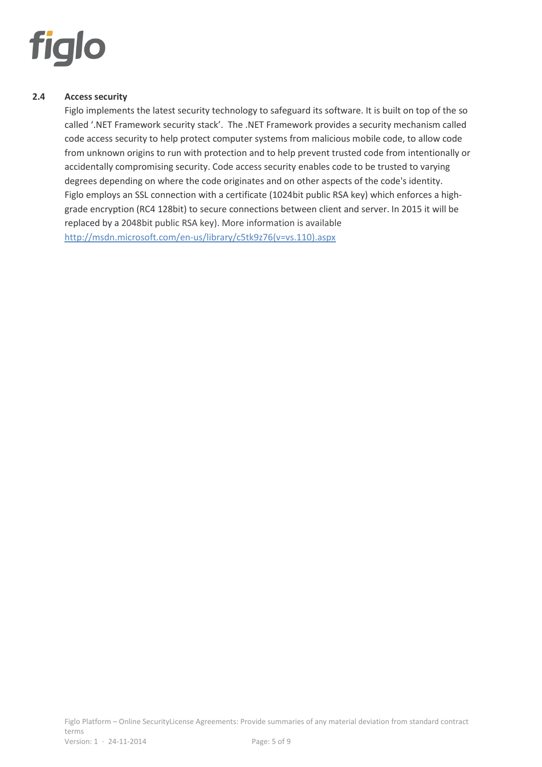

#### **2.4 Access security**

Figlo implements the latest security technology to safeguard its software. It is built on top of the so called '.NET Framework security stack'. The .NET Framework provides a security mechanism called code access security to help protect computer systems from malicious mobile code, to allow code from unknown origins to run with protection and to help prevent trusted code from intentionally or accidentally compromising security. Code access security enables code to be trusted to varying degrees depending on where the code originates and on other aspects of the code's identity. Figlo employs an SSL connection with a certificate (1024bit public RSA key) which enforces a highgrade encryption (RC4 128bit) to secure connections between client and server. In 2015 it will be replaced by a 2048bit public RSA key). More information is available http://msdn.microsoft.com/en-us/library/c5tk9z76(v=vs.110).aspx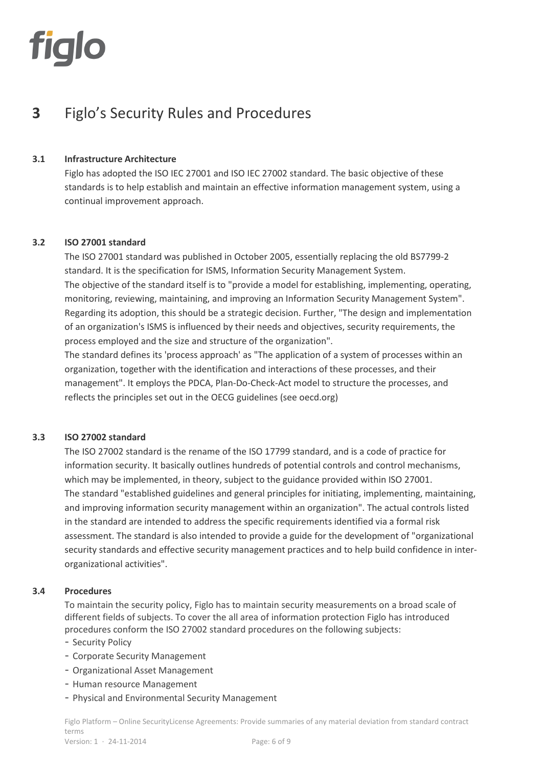

# **3** Figlo's Security Rules and Procedures

#### **3.1 Infrastructure Architecture**

Figlo has adopted the ISO IEC 27001 and ISO IEC 27002 standard. The basic objective of these standards is to help establish and maintain an effective information management system, using a continual improvement approach.

#### **3.2 ISO 27001 standard**

The ISO 27001 standard was published in October 2005, essentially replacing the old BS7799-2 standard. It is the specification for ISMS, Information Security Management System. The objective of the standard itself is to "provide a model for establishing, implementing, operating, monitoring, reviewing, maintaining, and improving an Information Security Management System". Regarding its adoption, this should be a strategic decision. Further, "The design and implementation of an organization's ISMS is influenced by their needs and objectives, security requirements, the process employed and the size and structure of the organization".

The standard defines its 'process approach' as "The application of a system of processes within an organization, together with the identification and interactions of these processes, and their management". It employs the PDCA, Plan-Do-Check-Act model to structure the processes, and reflects the principles set out in the OECG guidelines (see oecd.org)

#### **3.3 ISO 27002 standard**

The ISO 27002 standard is the rename of the ISO 17799 standard, and is a code of practice for information security. It basically outlines hundreds of potential controls and control mechanisms, which may be implemented, in theory, subject to the guidance provided within ISO 27001. The standard "established guidelines and general principles for initiating, implementing, maintaining, and improving information security management within an organization". The actual controls listed in the standard are intended to address the specific requirements identified via a formal risk assessment. The standard is also intended to provide a guide for the development of "organizational security standards and effective security management practices and to help build confidence in interorganizational activities".

#### **3.4 Procedures**

To maintain the security policy, Figlo has to maintain security measurements on a broad scale of different fields of subjects. To cover the all area of information protection Figlo has introduced procedures conform the ISO 27002 standard procedures on the following subjects:

- Security Policy
- Corporate Security Management
- Organizational Asset Management
- Human resource Management
- Physical and Environmental Security Management

Figlo Platform – Online SecurityLicense Agreements: Provide summaries of any material deviation from standard contract terms Version: 1 · 24-11-2014 Page: 6 of 9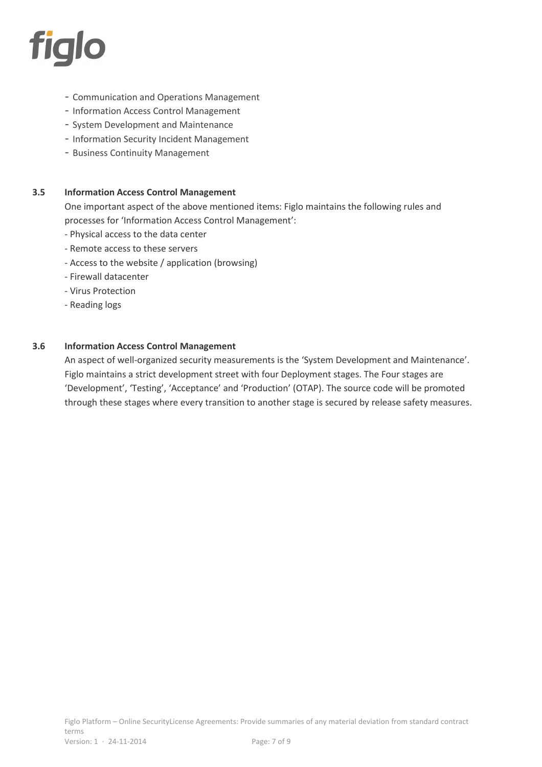

- Communication and Operations Management
- Information Access Control Management
- System Development and Maintenance
- Information Security Incident Management
- Business Continuity Management

#### **3.5 Information Access Control Management**

One important aspect of the above mentioned items: Figlo maintains the following rules and processes for 'Information Access Control Management':

- Physical access to the data center
- Remote access to these servers
- Access to the website / application (browsing)
- Firewall datacenter
- Virus Protection
- Reading logs

#### **3.6 Information Access Control Management**

An aspect of well-organized security measurements is the 'System Development and Maintenance'. Figlo maintains a strict development street with four Deployment stages. The Four stages are 'Development', 'Testing', 'Acceptance' and 'Production' (OTAP). The source code will be promoted through these stages where every transition to another stage is secured by release safety measures.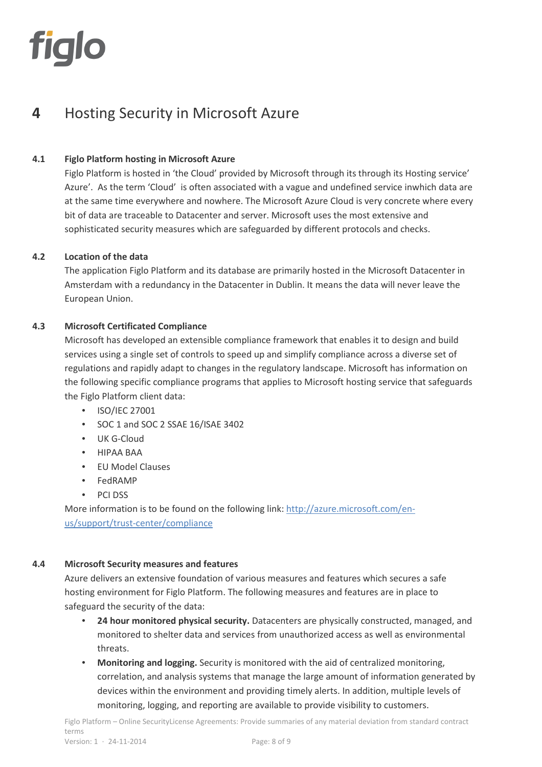

# **4** Hosting Security in Microsoft Azure

#### **4.1 Figlo Platform hosting in Microsoft Azure**

Figlo Platform is hosted in 'the Cloud' provided by Microsoft through its through its Hosting service' Azure'. As the term 'Cloud' is often associated with a vague and undefined service inwhich data are at the same time everywhere and nowhere. The Microsoft Azure Cloud is very concrete where every bit of data are traceable to Datacenter and server. Microsoft uses the most extensive and sophisticated security measures which are safeguarded by different protocols and checks.

#### **4.2 Location of the data**

The application Figlo Platform and its database are primarily hosted in the Microsoft Datacenter in Amsterdam with a redundancy in the Datacenter in Dublin. It means the data will never leave the European Union.

#### **4.3 Microsoft Certificated Compliance**

Microsoft has developed an extensible compliance framework that enables it to design and build services using a single set of controls to speed up and simplify compliance across a diverse set of regulations and rapidly adapt to changes in the regulatory landscape. Microsoft has information on the following specific compliance programs that applies to Microsoft hosting service that safeguards the Figlo Platform client data:

- ISO/IEC 27001
- SOC 1 and SOC 2 SSAE 16/ISAE 3402
- UK G-Cloud
- HIPAA BAA
- EU Model Clauses
- FedRAMP
- PCI DSS

More information is to be found on the following link: http://azure.microsoft.com/enus/support/trust-center/compliance

#### **4.4 Microsoft Security measures and features**

Azure delivers an extensive foundation of various measures and features which secures a safe hosting environment for Figlo Platform. The following measures and features are in place to safeguard the security of the data:

- **24 hour monitored physical security.** Datacenters are physically constructed, managed, and monitored to shelter data and services from unauthorized access as well as environmental threats.
- **Monitoring and logging.** Security is monitored with the aid of centralized monitoring, correlation, and analysis systems that manage the large amount of information generated by devices within the environment and providing timely alerts. In addition, multiple levels of monitoring, logging, and reporting are available to provide visibility to customers.

Figlo Platform – Online SecurityLicense Agreements: Provide summaries of any material deviation from standard contract terms Version: 1 · 24-11-2014 Page: 8 of 9